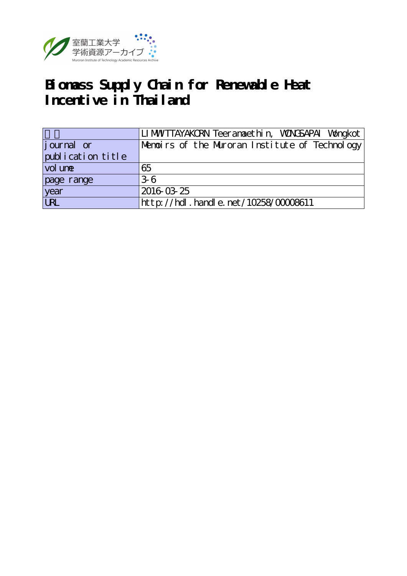

# **Biomass Supply Chain for Renewable Heat Incentive in Thailand**

|                   | LI MWTTAYAKORN Teeranaet hi n, WONGSAPAI Wongkot |
|-------------------|--------------------------------------------------|
| journal or        | Memoirs of the Muroran Institute of Technology   |
| publication title |                                                  |
| vol une           | 65                                               |
| page range        | .36                                              |
| year              | 2016 03 25                                       |
| URL               | http://hdl.handle.net/10258/00008611             |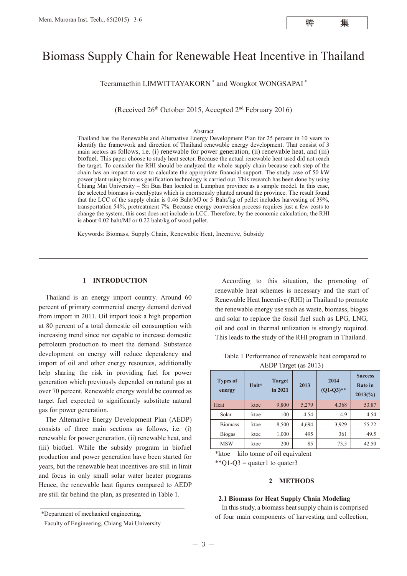# Biomass Supply Chain for Renewable Heat Incentive in Thailand

Teeramaethin LIMWITTAYAKORN \* and Wongkot WONGSAPAI \*

(Received  $26<sup>th</sup>$  October 2015, Accepted  $2<sup>nd</sup>$  February 2016)

#### Abstract

Thailand has the Renewable and Alternative Energy Development Plan for 25 percent in 10 years to identify the framework and direction of Thailand renewable energy development. That consist of 3 main sectors as follows, i.e. (i) renewable for power generation, (ii) renewable heat, and (iii) biofuel. This paper choose to study heat sector. Because the actual renewable heat used did not reach the target. To consider the RHI should be analyzed the whole supply chain because each step of the chain has an impact to cost to calculate the appropriate financial support. The study case of 50 kW power plant using biomass gasification technology is carried out. This research has been done by using Chiang Mai University – Sri Bua Ban located in Lumphun province as a sample model. In this case, the selected biomass is eucalyptus which is enormously planted around the province. The result found that the LCC of the supply chain is 0.46 Baht/MJ or 5 Baht/kg of pellet includes harvesting of 39%, transportation 54%, pretreatment 7%. Because energy conversion process requires just a few costs to change the system, this cost does not include in LCC. Therefore, by the economic calculation, the RHI is about 0.02 baht/MJ or 0.22 baht/kg of wood pellet.

Keywords: Biomass, Supply Chain, Renewable Heat, Incentive, Subsidy

# **1 INTRODUCTION**

Thailand is an energy import country. Around 60 percent of primary commercial energy demand derived from import in 2011. Oil import took a high proportion at 80 percent of a total domestic oil consumption with increasing trend since not capable to increase domestic petroleum production to meet the demand. Substance development on energy will reduce dependency and import of oil and other energy resources, additionally help sharing the risk in providing fuel for power generation which previously depended on natural gas at over 70 percent. Renewable energy would be counted as target fuel expected to significantly substitute natural gas for power generation.

The Alternative Energy Development Plan (AEDP) consists of three main sections as follows, i.e. (i) renewable for power generation, (ii) renewable heat, and (iii) biofuel. While the subsidy program in biofuel production and power generation have been started for years, but the renewable heat incentives are still in limit and focus in only small solar water heater programs Hence, the renewable heat figures compared to AEDP are still far behind the plan, as presented in Table 1.

According to this situation, the promoting of renewable heat schemes is necessary and the start of Renewable Heat Incentive (RHI) in Thailand to promote the renewable energy use such as waste, biomass, biogas and solar to replace the fossil fuel such as LPG, LNG, oil and coal in thermal utilization is strongly required. This leads to the study of the RHI program in Thailand.

Table 1 Performance of renewable heat compared to AEDP Target (as 2013)

| <b>Types of</b><br>energy | Unit* | <b>Target</b><br>in 2021 | 2013  | 2014<br>$(Q1-Q3)$ ** | <b>Success</b><br><b>Rate</b> in<br>$2013\frac{6}{90}$ |
|---------------------------|-------|--------------------------|-------|----------------------|--------------------------------------------------------|
| Heat                      | ktoe  | 9,800                    | 5,279 | 4,368                | 53.87                                                  |
| Solar                     | ktoe  | 100                      | 4.54  | 4.9                  | 4.54                                                   |
| <b>Biomass</b>            | ktoe  | 8,500                    | 4,694 | 3,929                | 55.22                                                  |
| <b>Biogas</b>             | ktoe  | 1,000                    | 495   | 361                  | 49.5                                                   |
| <b>MSW</b>                | ktoe  | 200                      | 85    | 73.5                 | 42.50                                                  |

\*ktoe = kilo tonne of oil equivalent

\*\* $Q1-Q3$  = quater1 to quater3

#### **2 METHODS**

#### **2.1 Biomass for Heat Supply Chain Modeling**

In this study, a biomass heat supply chain is comprised of four main components of harvesting and collection,

<sup>\*</sup>Department of mechanical engineering,

Faculty of Engineering, Chiang Mai University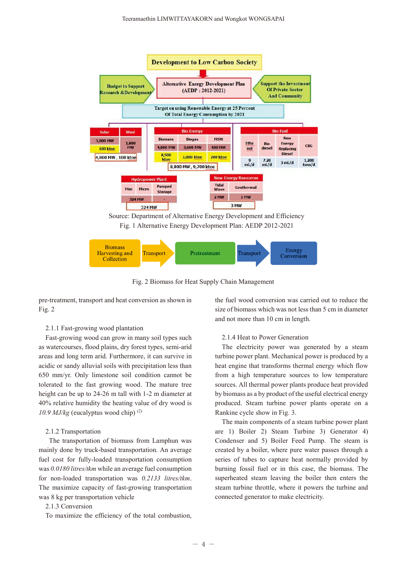

Fig. 2 Biomass for Heat Supply Chain Management

pre-treatment, transport and heat conversion as shown in Fig. 2

#### 2.1.1 Fast-growing wood plantation

Fast-growing wood can grow in many soil types such as watercourses, flood plains, dry forest types, semi-arid areas and long term arid. Furthermore, it can survive in acidic or sandy alluvial soils with precipitation less than 650 mm/yr. Only limestone soil condition cannot be tolerated to the fast growing wood. The mature tree height can be up to 24-26 m tall with 1-2 m diameter at 40% relative humidity the heating value of dry wood is *10.9 MJ/kg* (eucalyptus wood chip) (2)

#### 2.1.2 Transportation

 The transportation of biomass from Lamphun was mainly done by truck-based transportation. An average fuel cost for fully-loaded transportation consumption was *0.0180 litres/tkm* while an average fuel consumption for non-loaded transportation was *0.2133 litres/tkm*. The maximize capacity of fast-growing transportation was 8 kg per transportation vehicle

# 2.1.3 Conversion

To maximize the efficiency of the total combustion,

the fuel wood conversion was carried out to reduce the size of biomass which was not less than 5 cm in diameter and not more than 10 cm in length.

#### 2.1.4 Heat to Power Generation

The electricity power was generated by a steam turbine power plant. Mechanical power is produced by a heat engine that transforms thermal energy which flow from a high temperature sources to low temperature sources. All thermal power plants produce heat provided by biomass as a by product of the useful electrical energy produced. Steam turbine power plants operate on a Rankine cycle show in Fig. 3.

The main components of a steam turbine power plant are 1) Boiler 2) Steam Turbine 3) Generator 4) Condenser and 5) Boiler Feed Pump. The steam is created by a boiler, where pure water passes through a series of tubes to capture heat normally provided by burning fossil fuel or in this case, the biomass. The superheated steam leaving the boiler then enters the steam turbine throttle, where it powers the turbine and connected generator to make electricity.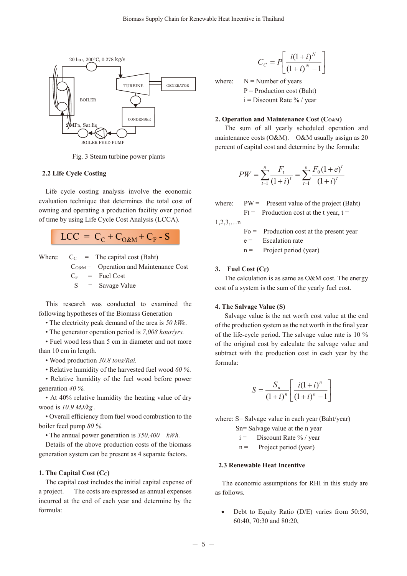

Fig. 3 Steam turbine power plants

# **2.2 Life Cycle Costing**

Life cycle costing analysis involve the economic evaluation technique that determines the total cost of owning and operating a production facility over period of time by using Life Cycle Cost Analysis (LCCA).

$$
LCC = CC + CO&M + CF - S
$$

Where:  $C_C$  = The capital cost (Baht)

 $C<sub>O@M</sub>$  = Operation and Maintenance Cost

 $C_F$  = Fuel Cost

 $S =$  Savage Value

This research was conducted to examined the following hypotheses of the Biomass Generation

• The electricity peak demand of the area is *50 kWe*.

• The generator operation period is *7,008 hour/yrs.*

• Fuel wood less than 5 cm in diameter and not more than 10 cm in length.

• Wood production *30.8 tons/Rai.* 

• Relative humidity of the harvested fuel wood *60 %*.

• Relative humidity of the fuel wood before power generation *40 %.*

• At 40% relative humidity the heating value of dry wood is *10.9 MJ/kg .*

• Overall efficiency from fuel wood combustion to the boiler feed pump *80 %.*

• The annual power generation is *350,400 kWh.*

Details of the above production costs of the biomass generation system can be present as 4 separate factors.

## **1. The Capital Cost (CC)**

The capital cost includes the initial capital expense of a project. The costs are expressed as annual expenses incurred at the end of each year and determine by the formula:

$$
C_C = P \left[ \frac{i(1+i)^N}{(1+i)^N - 1} \right]
$$

where:  $N =$  Number of years  $P =$  Production cost (Baht)  $i =$  Discount Rate % / year

# 2. Operation and Maintenance Cost (Co&M)

The sum of all yearly scheduled operation and maintenance costs (O&M). O&M usually assign as 20 percent of capital cost and determine by the formula:

$$
PW = \sum_{t=1}^{n} \frac{F_t}{(1+i)^t} = \sum_{t=1}^{n} \frac{F_0(1+e)^t}{(1+i)^t}
$$

where:  $PW =$  Present value of the project (Baht)

 $Ft =$  Production cost at the t year,  $t =$ 

 $1, 2, 3, \ldots$ n

- $Fo =$  Production cost at the present year
- $e =$  Escalation rate

 $n =$  Project period (year)

# **3. Fuel Cost (CF)**

The calculation is as same as O&M cost. The energy cost of a system is the sum of the yearly fuel cost.

#### **4. The Salvage Value (S)**

Salvage value is the net worth cost value at the end of the production system as the net worth in the final year of the life-cycle period. The salvage value rate is 10 % of the original cost by calculate the salvage value and subtract with the production cost in each year by the formula:

$$
S = \frac{S_n}{(1+i)^n} \left[ \frac{i(1+i)^n}{(1+i)^n - 1} \right]
$$

where: S = Salvage value in each year (Baht/year)

Sn= Salvage value at the n year

- $i =$  Discount Rate % / year
- $n =$  Project period (year)

# **2.3 Renewable Heat Incentive**

The economic assumptions for RHI in this study are as follows.

Debt to Equity Ratio (D/E) varies from 50:50, 60:40, 70:30 and 80:20,